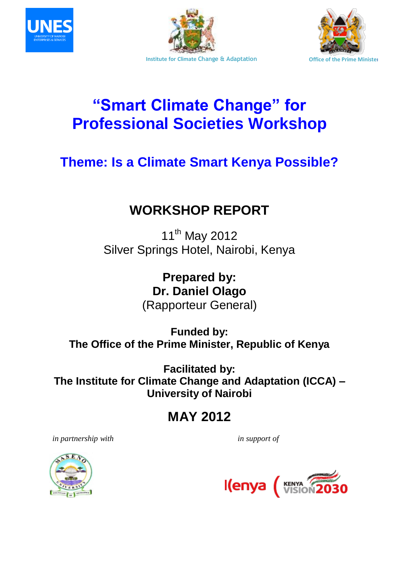





# **"Smart Climate Change" for Professional Societies Workshop**

# **Theme: Is a Climate Smart Kenya Possible?**

## **WORKSHOP REPORT**

11<sup>th</sup> May 2012 Silver Springs Hotel, Nairobi, Kenya

> **Prepared by: Dr. Daniel Olago**  (Rapporteur General)

**Funded by: The Office of the Prime Minister, Republic of Kenya**

**Facilitated by: The Institute for Climate Change and Adaptation (ICCA) – University of Nairobi**

## **MAY 2012**

 *in partnership with in support of* 



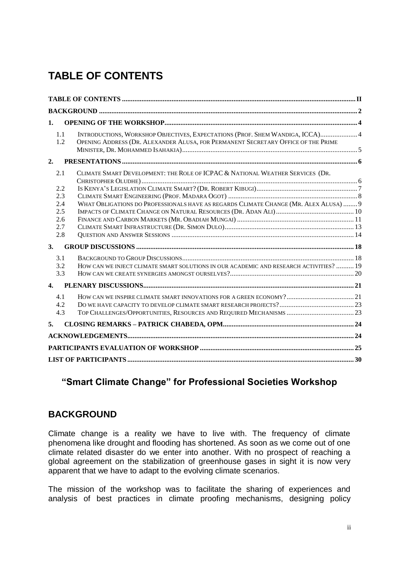## <span id="page-1-0"></span>**TABLE OF CONTENTS**

| 1.               |     |                                                                                        |  |
|------------------|-----|----------------------------------------------------------------------------------------|--|
|                  | 1.1 | INTRODUCTIONS, WORKSHOP OBJECTIVES, EXPECTATIONS (PROF. SHEM WANDIGA, ICCA) 4          |  |
|                  | 1.2 | OPENING ADDRESS (DR. ALEXANDER ALUSA, FOR PERMANENT SECRETARY OFFICE OF THE PRIME      |  |
| 2.               |     |                                                                                        |  |
|                  | 2.1 | CLIMATE SMART DEVELOPMENT: THE ROLE OF ICPAC & NATIONAL WEATHER SERVICES (DR.          |  |
|                  | 2.2 |                                                                                        |  |
|                  | 2.3 |                                                                                        |  |
|                  | 2.4 | WHAT OBLIGATIONS DO PROFESSIONALS HAVE AS REGARDS CLIMATE CHANGE (MR. ALEX ALUSA)  9   |  |
|                  | 2.5 |                                                                                        |  |
|                  | 2.6 |                                                                                        |  |
|                  | 2.7 |                                                                                        |  |
|                  | 2.8 |                                                                                        |  |
| 3.               |     |                                                                                        |  |
|                  | 3.1 |                                                                                        |  |
|                  | 3.2 | HOW CAN WE INJECT CLIMATE SMART SOLUTIONS IN OUR ACADEMIC AND RESEARCH ACTIVITIES?  19 |  |
|                  | 3.3 |                                                                                        |  |
| $\overline{4}$ . |     |                                                                                        |  |
|                  | 4.1 | HOW CAN WE INSPIRE CLIMATE SMART INNOVATIONS FOR A GREEN ECONOMY? 21                   |  |
|                  | 4.2 |                                                                                        |  |
|                  | 4.3 |                                                                                        |  |
| 5.               |     |                                                                                        |  |
|                  |     |                                                                                        |  |
|                  |     |                                                                                        |  |
|                  |     |                                                                                        |  |

### **"Smart Climate Change" for Professional Societies Workshop**

### <span id="page-1-1"></span>**BACKGROUND**

Climate change is a reality we have to live with. The frequency of climate phenomena like drought and flooding has shortened. As soon as we come out of one climate related disaster do we enter into another. With no prospect of reaching a global agreement on the stabilization of greenhouse gases in sight it is now very apparent that we have to adapt to the evolving climate scenarios.

The mission of the workshop was to facilitate the sharing of experiences and analysis of best practices in climate proofing mechanisms, designing policy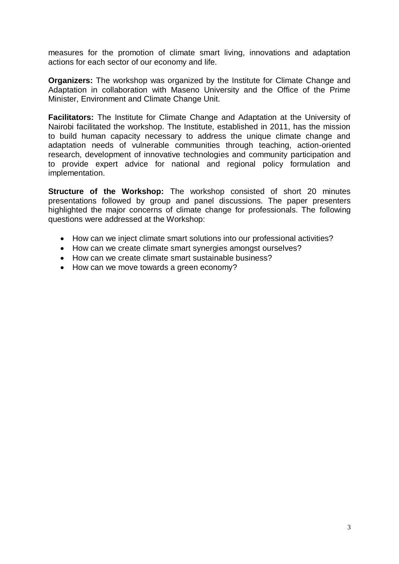measures for the promotion of climate smart living, innovations and adaptation actions for each sector of our economy and life.

**Organizers:** The workshop was organized by the Institute for Climate Change and Adaptation in collaboration with Maseno University and the Office of the Prime Minister, Environment and Climate Change Unit.

**Facilitators:** The Institute for Climate Change and Adaptation at the University of Nairobi facilitated the workshop. The Institute, established in 2011, has the mission to build human capacity necessary to address the unique climate change and adaptation needs of vulnerable communities through teaching, action-oriented research, development of innovative technologies and community participation and to provide expert advice for national and regional policy formulation and implementation.

**Structure of the Workshop:** The workshop consisted of short 20 minutes presentations followed by group and panel discussions. The paper presenters highlighted the major concerns of climate change for professionals. The following questions were addressed at the Workshop:

- How can we inject climate smart solutions into our professional activities?
- How can we create climate smart synergies amongst ourselves?
- How can we create climate smart sustainable business?
- How can we move towards a green economy?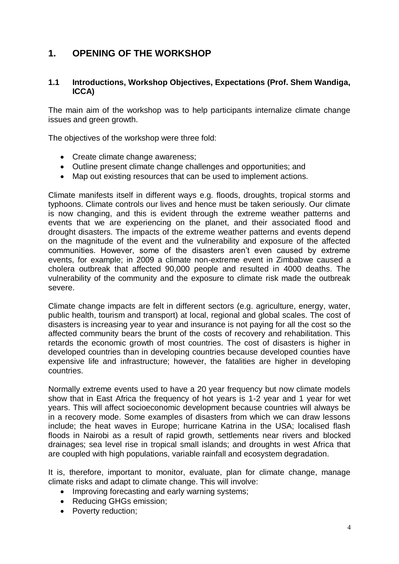### <span id="page-3-0"></span>**1. OPENING OF THE WORKSHOP**

### <span id="page-3-1"></span>**1.1 Introductions, Workshop Objectives, Expectations (Prof. Shem Wandiga, ICCA)**

The main aim of the workshop was to help participants internalize climate change issues and green growth.

The objectives of the workshop were three fold:

- Create climate change awareness;
- Outline present climate change challenges and opportunities; and
- Map out existing resources that can be used to implement actions.

Climate manifests itself in different ways e.g. floods, droughts, tropical storms and typhoons. Climate controls our lives and hence must be taken seriously. Our climate is now changing, and this is evident through the extreme weather patterns and events that we are experiencing on the planet, and their associated flood and drought disasters. The impacts of the extreme weather patterns and events depend on the magnitude of the event and the vulnerability and exposure of the affected communities. However, some of the disasters aren't even caused by extreme events, for example; in 2009 a climate non-extreme event in Zimbabwe caused a cholera outbreak that affected 90,000 people and resulted in 4000 deaths. The vulnerability of the community and the exposure to climate risk made the outbreak severe.

Climate change impacts are felt in different sectors (e.g. agriculture, energy, water, public health, tourism and transport) at local, regional and global scales. The cost of disasters is increasing year to year and insurance is not paying for all the cost so the affected community bears the brunt of the costs of recovery and rehabilitation. This retards the economic growth of most countries. The cost of disasters is higher in developed countries than in developing countries because developed counties have expensive life and infrastructure; however, the fatalities are higher in developing countries.

Normally extreme events used to have a 20 year frequency but now climate models show that in East Africa the frequency of hot years is 1-2 year and 1 year for wet years. This will affect socioeconomic development because countries will always be in a recovery mode. Some examples of disasters from which we can draw lessons include; the heat waves in Europe; hurricane Katrina in the USA; localised flash floods in Nairobi as a result of rapid growth, settlements near rivers and blocked drainages; sea level rise in tropical small islands; and droughts in west Africa that are coupled with high populations, variable rainfall and ecosystem degradation.

It is, therefore, important to monitor, evaluate, plan for climate change, manage climate risks and adapt to climate change. This will involve:

- Improving forecasting and early warning systems;
- Reducing GHGs emission;
- Poverty reduction;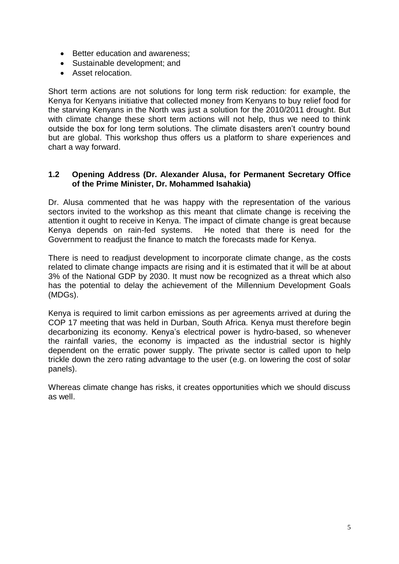- Better education and awareness;
- Sustainable development; and
- Asset relocation.

Short term actions are not solutions for long term risk reduction: for example, the Kenya for Kenyans initiative that collected money from Kenyans to buy relief food for the starving Kenyans in the North was just a solution for the 2010/2011 drought. But with climate change these short term actions will not help, thus we need to think outside the box for long term solutions. The climate disasters aren't country bound but are global. This workshop thus offers us a platform to share experiences and chart a way forward.

#### <span id="page-4-0"></span>**1.2 Opening Address (Dr. Alexander Alusa, for Permanent Secretary Office of the Prime Minister, Dr. Mohammed Isahakia)**

Dr. Alusa commented that he was happy with the representation of the various sectors invited to the workshop as this meant that climate change is receiving the attention it ought to receive in Kenya. The impact of climate change is great because Kenya depends on rain-fed systems. He noted that there is need for the Government to readjust the finance to match the forecasts made for Kenya.

There is need to readjust development to incorporate climate change, as the costs related to climate change impacts are rising and it is estimated that it will be at about 3% of the National GDP by 2030. It must now be recognized as a threat which also has the potential to delay the achievement of the Millennium Development Goals (MDGs).

Kenya is required to limit carbon emissions as per agreements arrived at during the COP 17 meeting that was held in Durban, South Africa. Kenya must therefore begin decarbonizing its economy. Kenya's electrical power is hydro-based, so whenever the rainfall varies, the economy is impacted as the industrial sector is highly dependent on the erratic power supply. The private sector is called upon to help trickle down the zero rating advantage to the user (e.g. on lowering the cost of solar panels).

Whereas climate change has risks, it creates opportunities which we should discuss as well.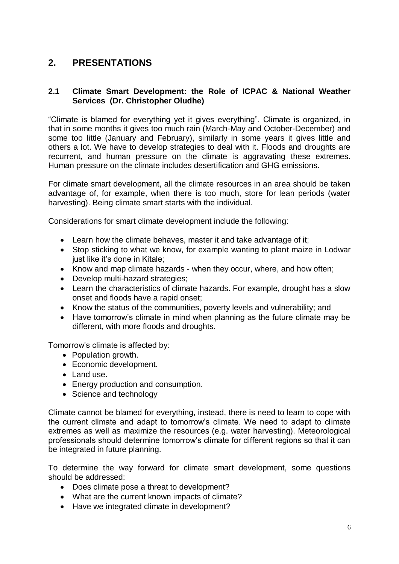### <span id="page-5-0"></span>**2. PRESENTATIONS**

### <span id="page-5-1"></span>**2.1 Climate Smart Development: the Role of ICPAC & National Weather Services (Dr. Christopher Oludhe)**

"Climate is blamed for everything yet it gives everything". Climate is organized, in that in some months it gives too much rain (March-May and October-December) and some too little (January and February), similarly in some years it gives little and others a lot. We have to develop strategies to deal with it. Floods and droughts are recurrent, and human pressure on the climate is aggravating these extremes. Human pressure on the climate includes desertification and GHG emissions.

For climate smart development, all the climate resources in an area should be taken advantage of, for example, when there is too much, store for lean periods (water harvesting). Being climate smart starts with the individual.

Considerations for smart climate development include the following:

- Learn how the climate behaves, master it and take advantage of it;
- Stop sticking to what we know, for example wanting to plant maize in Lodwar just like it's done in Kitale;
- Know and map climate hazards when they occur, where, and how often;
- Develop multi-hazard strategies:
- Learn the characteristics of climate hazards. For example, drought has a slow onset and floods have a rapid onset;
- Know the status of the communities, poverty levels and vulnerability; and
- Have tomorrow's climate in mind when planning as the future climate may be different, with more floods and droughts.

Tomorrow's climate is affected by:

- Population growth.
- Economic development.
- Land use.
- Energy production and consumption.
- Science and technology

Climate cannot be blamed for everything, instead, there is need to learn to cope with the current climate and adapt to tomorrow's climate. We need to adapt to climate extremes as well as maximize the resources (e.g. water harvesting). Meteorological professionals should determine tomorrow's climate for different regions so that it can be integrated in future planning.

To determine the way forward for climate smart development, some questions should be addressed:

- Does climate pose a threat to development?
- What are the current known impacts of climate?
- Have we integrated climate in development?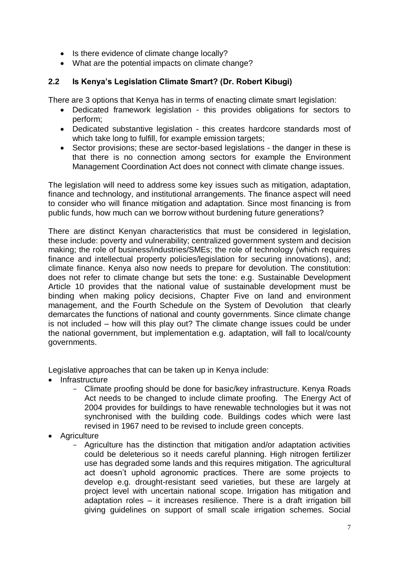- Is there evidence of climate change locally?
- What are the potential impacts on climate change?

### <span id="page-6-0"></span>**2.2 Is Kenya's Legislation Climate Smart? (Dr. Robert Kibugi)**

There are 3 options that Kenya has in terms of enacting climate smart legislation:

- Dedicated framework legislation this provides obligations for sectors to perform;
- Dedicated substantive legislation this creates hardcore standards most of which take long to fulfill, for example emission targets;
- Sector provisions; these are sector-based legislations the danger in these is that there is no connection among sectors for example the Environment Management Coordination Act does not connect with climate change issues.

The legislation will need to address some key issues such as mitigation, adaptation, finance and technology, and institutional arrangements. The finance aspect will need to consider who will finance mitigation and adaptation. Since most financing is from public funds, how much can we borrow without burdening future generations?

There are distinct Kenyan characteristics that must be considered in legislation, these include: poverty and vulnerability; centralized government system and decision making; the role of business/industries/SMEs; the role of technology (which requires finance and intellectual property policies/legislation for securing innovations), and; climate finance. Kenya also now needs to prepare for devolution. The constitution: does not refer to climate change but sets the tone: e.g. Sustainable Development Article 10 provides that the national value of sustainable development must be binding when making policy decisions, Chapter Five on land and environment management, and the Fourth Schedule on the System of Devolution that clearly demarcates the functions of national and county governments. Since climate change is not included – how will this play out? The climate change issues could be under the national government, but implementation e.g. adaptation, will fall to local/county governments.

Legislative approaches that can be taken up in Kenya include:

- Infrastructure
	- Climate proofing should be done for basic/key infrastructure. Kenya Roads Act needs to be changed to include climate proofing. The Energy Act of 2004 provides for buildings to have renewable technologies but it was not synchronised with the building code. Buildings codes which were last revised in 1967 need to be revised to include green concepts.
- Agriculture
	- Agriculture has the distinction that mitigation and/or adaptation activities could be deleterious so it needs careful planning. High nitrogen fertilizer use has degraded some lands and this requires mitigation. The agricultural act doesn't uphold agronomic practices. There are some projects to develop e.g. drought-resistant seed varieties, but these are largely at project level with uncertain national scope. Irrigation has mitigation and adaptation roles – it increases resilience. There is a draft irrigation bill giving guidelines on support of small scale irrigation schemes. Social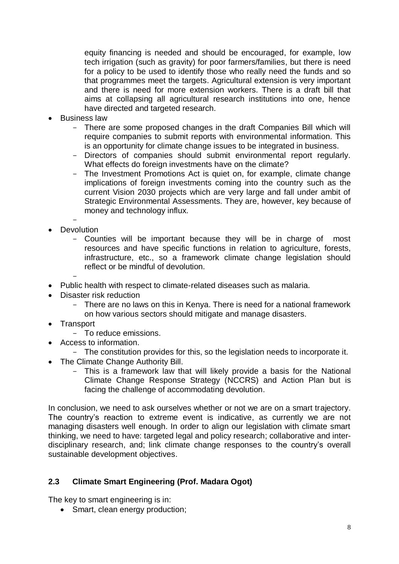equity financing is needed and should be encouraged, for example, low tech irrigation (such as gravity) for poor farmers/families, but there is need for a policy to be used to identify those who really need the funds and so that programmes meet the targets. Agricultural extension is very important and there is need for more extension workers. There is a draft bill that aims at collapsing all agricultural research institutions into one, hence have directed and targeted research.

- Business law
	- There are some proposed changes in the draft Companies Bill which will require companies to submit reports with environmental information. This is an opportunity for climate change issues to be integrated in business.
	- Directors of companies should submit environmental report regularly. What effects do foreign investments have on the climate?
	- The Investment Promotions Act is quiet on, for example, climate change implications of foreign investments coming into the country such as the current Vision 2030 projects which are very large and fall under ambit of Strategic Environmental Assessments. They are, however, key because of money and technology influx.
- **Devolution** 
	- Counties will be important because they will be in charge of most resources and have specific functions in relation to agriculture, forests, infrastructure, etc., so a framework climate change legislation should reflect or be mindful of devolution.
- Public health with respect to climate-related diseases such as malaria.
- Disaster risk reduction
	- There are no laws on this in Kenya. There is need for a national framework on how various sectors should mitigate and manage disasters.
- **Transport** 
	- To reduce emissions.
- Access to information.
- The constitution provides for this, so the legislation needs to incorporate it.
- The Climate Change Authority Bill.
	- This is a framework law that will likely provide a basis for the National Climate Change Response Strategy (NCCRS) and Action Plan but is facing the challenge of accommodating devolution.

In conclusion, we need to ask ourselves whether or not we are on a smart trajectory. The country's reaction to extreme event is indicative, as currently we are not managing disasters well enough. In order to align our legislation with climate smart thinking, we need to have: targeted legal and policy research; collaborative and interdisciplinary research, and; link climate change responses to the country's overall sustainable development objectives.

### <span id="page-7-0"></span>**2.3 Climate Smart Engineering (Prof. Madara Ogot)**

The key to smart engineering is in:

• Smart, clean energy production;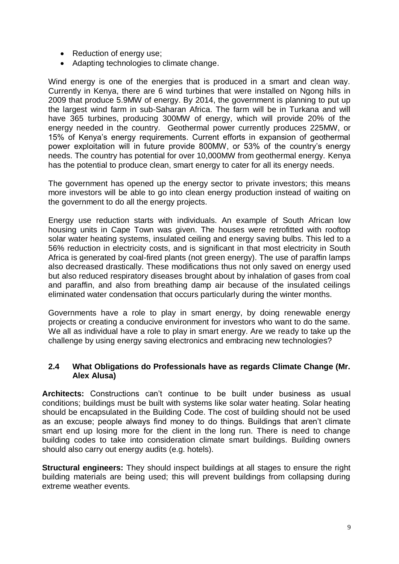- Reduction of energy use;
- Adapting technologies to climate change.

Wind energy is one of the energies that is produced in a smart and clean way. Currently in Kenya, there are 6 wind turbines that were installed on Ngong hills in 2009 that produce 5.9MW of energy. By 2014, the government is planning to put up the largest wind farm in sub-Saharan Africa. The farm will be in Turkana and will have 365 turbines, producing 300MW of energy, which will provide 20% of the energy needed in the country. Geothermal power currently produces 225MW, or 15% of Kenya's energy requirements. Current efforts in expansion of geothermal power exploitation will in future provide 800MW, or 53% of the country's energy needs. The country has potential for over 10,000MW from geothermal energy. Kenya has the potential to produce clean, smart energy to cater for all its energy needs.

The government has opened up the energy sector to private investors; this means more investors will be able to go into clean energy production instead of waiting on the government to do all the energy projects.

Energy use reduction starts with individuals. An example of South African low housing units in Cape Town was given. The houses were retrofitted with rooftop solar water heating systems, insulated ceiling and energy saving bulbs. This led to a 56% reduction in electricity costs, and is significant in that most electricity in South Africa is generated by coal-fired plants (not green energy). The use of paraffin lamps also decreased drastically. These modifications thus not only saved on energy used but also reduced respiratory diseases brought about by inhalation of gases from coal and paraffin, and also from breathing damp air because of the insulated ceilings eliminated water condensation that occurs particularly during the winter months.

Governments have a role to play in smart energy, by doing renewable energy projects or creating a conducive environment for investors who want to do the same. We all as individual have a role to play in smart energy. Are we ready to take up the challenge by using energy saving electronics and embracing new technologies?

#### <span id="page-8-0"></span>**2.4 What Obligations do Professionals have as regards Climate Change (Mr. Alex Alusa)**

**Architects:** Constructions can't continue to be built under business as usual conditions; buildings must be built with systems like solar water heating. Solar heating should be encapsulated in the Building Code. The cost of building should not be used as an excuse; people always find money to do things. Buildings that aren't climate smart end up losing more for the client in the long run. There is need to change building codes to take into consideration climate smart buildings. Building owners should also carry out energy audits (e.g. hotels).

**Structural engineers:** They should inspect buildings at all stages to ensure the right building materials are being used; this will prevent buildings from collapsing during extreme weather events.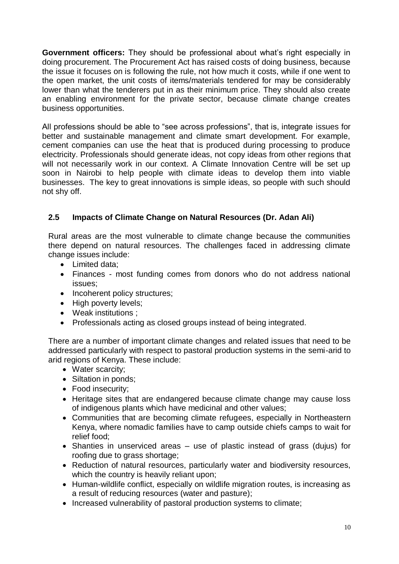**Government officers:** They should be professional about what's right especially in doing procurement. The Procurement Act has raised costs of doing business, because the issue it focuses on is following the rule, not how much it costs, while if one went to the open market, the unit costs of items/materials tendered for may be considerably lower than what the tenderers put in as their minimum price. They should also create an enabling environment for the private sector, because climate change creates business opportunities.

All professions should be able to "see across professions", that is, integrate issues for better and sustainable management and climate smart development. For example, cement companies can use the heat that is produced during processing to produce electricity. Professionals should generate ideas, not copy ideas from other regions that will not necessarily work in our context. A Climate Innovation Centre will be set up soon in Nairobi to help people with climate ideas to develop them into viable businesses. The key to great innovations is simple ideas, so people with such should not shy off.

### <span id="page-9-0"></span>**2.5 Impacts of Climate Change on Natural Resources (Dr. Adan Ali)**

Rural areas are the most vulnerable to climate change because the communities there depend on natural resources. The challenges faced in addressing climate change issues include:

- Limited data;
- Finances most funding comes from donors who do not address national issues;
- Incoherent policy structures;
- High poverty levels;
- Weak institutions :
- Professionals acting as closed groups instead of being integrated.

There are a number of important climate changes and related issues that need to be addressed particularly with respect to pastoral production systems in the semi-arid to arid regions of Kenya. These include:

- Water scarcity;
- Siltation in ponds;
- Food insecurity;
- Heritage sites that are endangered because climate change may cause loss of indigenous plants which have medicinal and other values;
- Communities that are becoming climate refugees, especially in Northeastern Kenya, where nomadic families have to camp outside chiefs camps to wait for relief food;
- Shanties in unserviced areas use of plastic instead of grass (dujus) for roofing due to grass shortage;
- Reduction of natural resources, particularly water and biodiversity resources, which the country is heavily reliant upon;
- Human-wildlife conflict, especially on wildlife migration routes, is increasing as a result of reducing resources (water and pasture);
- Increased vulnerability of pastoral production systems to climate: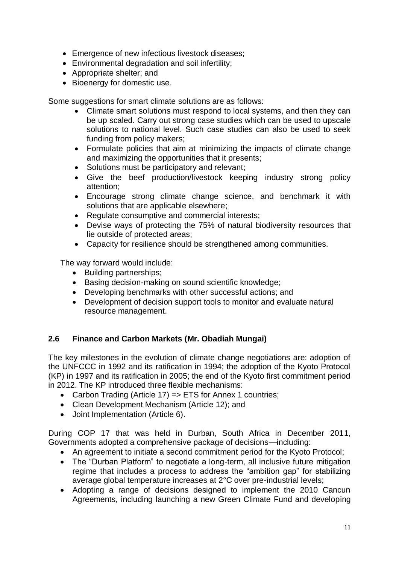- Emergence of new infectious livestock diseases;
- Environmental degradation and soil infertility;
- Appropriate shelter; and
- Bioenergy for domestic use.

Some suggestions for smart climate solutions are as follows:

- Climate smart solutions must respond to local systems, and then they can be up scaled. Carry out strong case studies which can be used to upscale solutions to national level. Such case studies can also be used to seek funding from policy makers;
- Formulate policies that aim at minimizing the impacts of climate change and maximizing the opportunities that it presents;
- Solutions must be participatory and relevant;
- Give the beef production/livestock keeping industry strong policy attention;
- Encourage strong climate change science, and benchmark it with solutions that are applicable elsewhere;
- Regulate consumptive and commercial interests;
- Devise ways of protecting the 75% of natural biodiversity resources that lie outside of protected areas;
- Capacity for resilience should be strengthened among communities.

The way forward would include:

- Building partnerships;
- Basing decision-making on sound scientific knowledge;
- Developing benchmarks with other successful actions; and
- Development of decision support tools to monitor and evaluate natural resource management.

### <span id="page-10-0"></span>**2.6 Finance and Carbon Markets (Mr. Obadiah Mungai)**

The key milestones in the evolution of climate change negotiations are: adoption of the UNFCCC in 1992 and its ratification in 1994; the adoption of the Kyoto Protocol (KP) in 1997 and its ratification in 2005; the end of the Kyoto first commitment period in 2012. The KP introduced three flexible mechanisms:

- Carbon Trading (Article 17) => ETS for Annex 1 countries;
- Clean Development Mechanism (Article 12); and
- Joint Implementation (Article 6).

During COP 17 that was held in Durban, South Africa in December 2011, Governments adopted a comprehensive package of decisions—including:

- An agreement to initiate a second commitment period for the Kyoto Protocol;
- The "Durban Platform" to negotiate a long-term, all inclusive future mitigation regime that includes a process to address the "ambition gap" for stabilizing average global temperature increases at 2°C over pre-industrial levels;
- Adopting a range of decisions designed to implement the 2010 Cancun Agreements, including launching a new Green Climate Fund and developing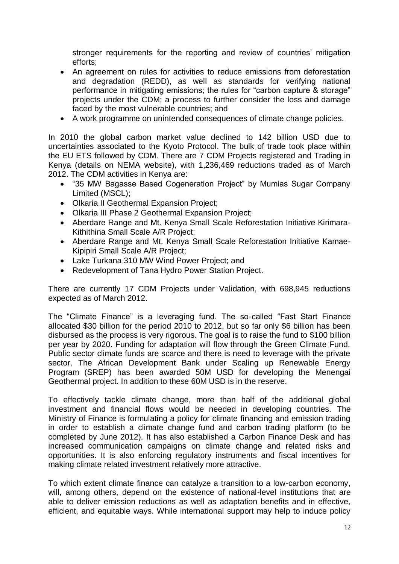stronger requirements for the reporting and review of countries' mitigation efforts;

- An agreement on rules for activities to reduce emissions from deforestation and degradation (REDD), as well as standards for verifying national performance in mitigating emissions; the rules for "carbon capture & storage" projects under the CDM; a process to further consider the loss and damage faced by the most vulnerable countries; and
- A work programme on unintended consequences of climate change policies.

In 2010 the global carbon market value declined to 142 billion USD due to uncertainties associated to the Kyoto Protocol. The bulk of trade took place within the EU ETS followed by CDM. There are 7 CDM Projects registered and Trading in Kenya (details on NEMA website), with 1,236,469 reductions traded as of March 2012. The CDM activities in Kenya are:

- "35 MW Bagasse Based Cogeneration Project" by Mumias Sugar Company Limited (MSCL);
- Olkaria II Geothermal Expansion Project;
- Olkaria III Phase 2 Geothermal Expansion Project;
- Aberdare Range and Mt. Kenya Small Scale Reforestation Initiative Kirimara-Kithithina Small Scale A/R Project;
- Aberdare Range and Mt. Kenya Small Scale Reforestation Initiative Kamae-Kipipiri Small Scale A/R Project;
- Lake Turkana 310 MW Wind Power Project; and
- Redevelopment of Tana Hydro Power Station Project.

There are currently 17 CDM Projects under Validation, with 698,945 reductions expected as of March 2012.

The "Climate Finance" is a leveraging fund. The so-called "Fast Start Finance allocated \$30 billion for the period 2010 to 2012, but so far only \$6 billion has been disbursed as the process is very rigorous. The goal is to raise the fund to \$100 billion per year by 2020. Funding for adaptation will flow through the Green Climate Fund. Public sector climate funds are scarce and there is need to leverage with the private sector. The African Development Bank under Scaling up Renewable Energy Program (SREP) has been awarded 50M USD for developing the Menengai Geothermal project. In addition to these 60M USD is in the reserve.

To effectively tackle climate change, more than half of the additional global investment and financial flows would be needed in developing countries. The Ministry of Finance is formulating a policy for climate financing and emission trading in order to establish a climate change fund and carbon trading platform (to be completed by June 2012). It has also established a Carbon Finance Desk and has increased communication campaigns on climate change and related risks and opportunities. It is also enforcing regulatory instruments and fiscal incentives for making climate related investment relatively more attractive.

To which extent climate finance can catalyze a transition to a low-carbon economy, will, among others, depend on the existence of national-level institutions that are able to deliver emission reductions as well as adaptation benefits and in effective, efficient, and equitable ways. While international support may help to induce policy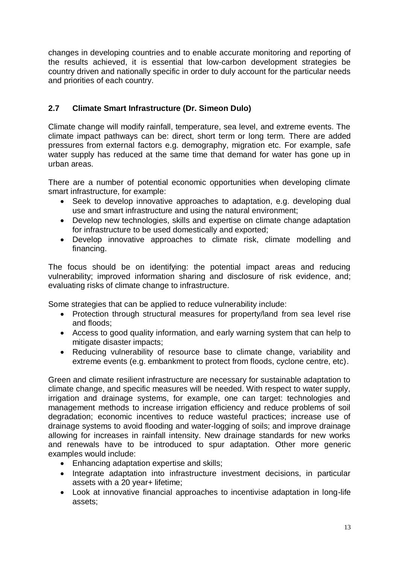changes in developing countries and to enable accurate monitoring and reporting of the results achieved, it is essential that low-carbon development strategies be country driven and nationally specific in order to duly account for the particular needs and priorities of each country.

### <span id="page-12-0"></span>**2.7 Climate Smart Infrastructure (Dr. Simeon Dulo)**

Climate change will modify rainfall, temperature, sea level, and extreme events. The climate impact pathways can be: direct, short term or long term. There are added pressures from external factors e.g. demography, migration etc. For example, safe water supply has reduced at the same time that demand for water has gone up in urban areas.

There are a number of potential economic opportunities when developing climate smart infrastructure, for example:

- Seek to develop innovative approaches to adaptation, e.g. developing dual use and smart infrastructure and using the natural environment;
- Develop new technologies, skills and expertise on climate change adaptation for infrastructure to be used domestically and exported;
- Develop innovative approaches to climate risk, climate modelling and financing.

The focus should be on identifying: the potential impact areas and reducing vulnerability; improved information sharing and disclosure of risk evidence, and; evaluating risks of climate change to infrastructure.

Some strategies that can be applied to reduce vulnerability include:

- Protection through structural measures for property/land from sea level rise and floods;
- Access to good quality information, and early warning system that can help to mitigate disaster impacts;
- Reducing vulnerability of resource base to climate change, variability and extreme events (e.g. embankment to protect from floods, cyclone centre, etc).

Green and climate resilient infrastructure are necessary for sustainable adaptation to climate change, and specific measures will be needed. With respect to water supply, irrigation and drainage systems, for example, one can target: technologies and management methods to increase irrigation efficiency and reduce problems of soil degradation; economic incentives to reduce wasteful practices; increase use of drainage systems to avoid flooding and water-logging of soils; and improve drainage allowing for increases in rainfall intensity. New drainage standards for new works and renewals have to be introduced to spur adaptation. Other more generic examples would include:

- Enhancing adaptation expertise and skills;
- Integrate adaptation into infrastructure investment decisions, in particular assets with a 20 year+ lifetime;
- Look at innovative financial approaches to incentivise adaptation in long-life assets;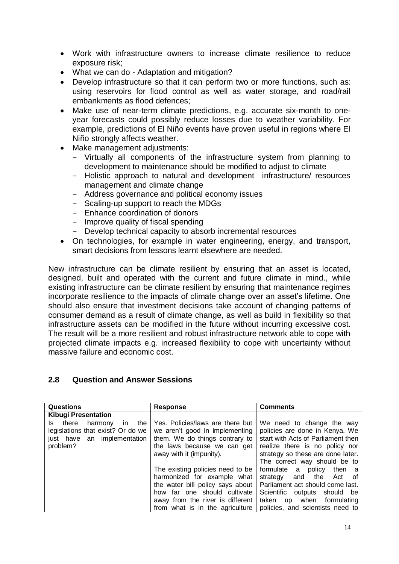- Work with infrastructure owners to increase climate resilience to reduce exposure risk;
- What we can do Adaptation and mitigation?
- Develop infrastructure so that it can perform two or more functions, such as: using reservoirs for flood control as well as water storage, and road/rail embankments as flood defences;
- Make use of near-term climate predictions, e.g. accurate six-month to oneyear forecasts could possibly reduce losses due to weather variability. For example, predictions of El Niño events have proven useful in regions where El Niño strongly affects weather.
- Make management adjustments:
	- Virtually all components of the infrastructure system from planning to development to maintenance should be modified to adjust to climate
	- Holistic approach to natural and development infrastructure/ resources management and climate change
	- Address governance and political economy issues
	- Scaling-up support to reach the MDGs
	- Enhance coordination of donors
	- Improve quality of fiscal spending
	- Develop technical capacity to absorb incremental resources
- On technologies, for example in water engineering, energy, and transport, smart decisions from lessons learnt elsewhere are needed.

New infrastructure can be climate resilient by ensuring that an asset is located, designed, built and operated with the current and future climate in mind., while existing infrastructure can be climate resilient by ensuring that maintenance regimes incorporate resilience to the impacts of climate change over an asset's lifetime. One should also ensure that investment decisions take account of changing patterns of consumer demand as a result of climate change, as well as build in flexibility so that infrastructure assets can be modified in the future without incurring excessive cost. The result will be a more resilient and robust infrastructure network able to cope with projected climate impacts e.g. increased flexibility to cope with uncertainty without massive failure and economic cost.

#### <span id="page-13-0"></span>**2.8 Question and Answer Sessions**

| <b>Questions</b>                                                                                                  | <b>Response</b>                                                                                                                                                                                                                                                                                                                                                               | <b>Comments</b>                                                                                                                                                                                                                                                                                                                                                                                          |
|-------------------------------------------------------------------------------------------------------------------|-------------------------------------------------------------------------------------------------------------------------------------------------------------------------------------------------------------------------------------------------------------------------------------------------------------------------------------------------------------------------------|----------------------------------------------------------------------------------------------------------------------------------------------------------------------------------------------------------------------------------------------------------------------------------------------------------------------------------------------------------------------------------------------------------|
| <b>Kibugi Presentation</b>                                                                                        |                                                                                                                                                                                                                                                                                                                                                                               |                                                                                                                                                                                                                                                                                                                                                                                                          |
| Is there<br>the<br>harmony<br>in.<br>legislations that exist? Or do we<br>just have an implementation<br>problem? | Yes. Policies/laws are there but<br>we aren't good in implementing<br>them. We do things contrary to<br>the laws because we can get<br>away with it (impunity).<br>The existing policies need to be<br>harmonized for example what<br>the water bill policy says about<br>how far one should cultivate<br>away from the river is different<br>from what is in the agriculture | We need to change the way<br>policies are done in Kenya. We<br>start with Acts of Parliament then<br>realize there is no policy nor<br>strategy so these are done later.<br>The correct way should be to<br>formulate a policy then a<br>strategy and the<br>Act of<br>Parliament act should come last.<br>Scientific outputs should be<br>taken up when formulating<br>policies, and scientists need to |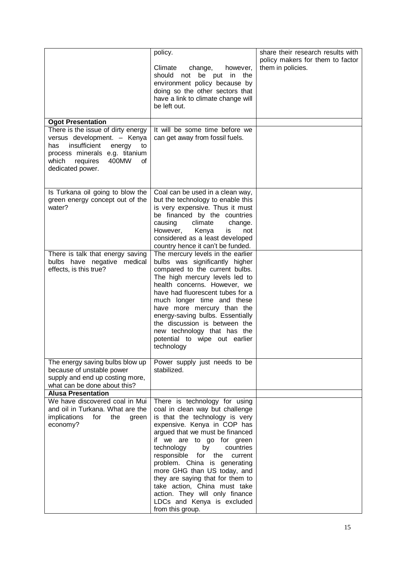|                                                                                                                                                                                                    | policy.<br>Climate<br>change,<br>however,<br>should not be put in the<br>environment policy because by<br>doing so the other sectors that<br>have a link to climate change will<br>be left out.                                                                                                                                                                                                                                                                                                | share their research results with<br>policy makers for them to factor<br>them in policies. |
|----------------------------------------------------------------------------------------------------------------------------------------------------------------------------------------------------|------------------------------------------------------------------------------------------------------------------------------------------------------------------------------------------------------------------------------------------------------------------------------------------------------------------------------------------------------------------------------------------------------------------------------------------------------------------------------------------------|--------------------------------------------------------------------------------------------|
| <b>Ogot Presentation</b>                                                                                                                                                                           |                                                                                                                                                                                                                                                                                                                                                                                                                                                                                                |                                                                                            |
| There is the issue of dirty energy<br>versus development. - Kenya<br>insufficient<br>energy<br>has<br>to<br>process minerals e.g. titanium<br>requires<br>400MW<br>which<br>of<br>dedicated power. | It will be some time before we<br>can get away from fossil fuels.                                                                                                                                                                                                                                                                                                                                                                                                                              |                                                                                            |
| Is Turkana oil going to blow the<br>green energy concept out of the<br>water?                                                                                                                      | Coal can be used in a clean way,<br>but the technology to enable this<br>is very expensive. Thus it must<br>be financed by the countries<br>causing<br>climate<br>change.<br>However, Kenya<br>is<br>not<br>considered as a least developed<br>country hence it can't be funded.                                                                                                                                                                                                               |                                                                                            |
| There is talk that energy saving<br>bulbs have negative medical<br>effects, is this true?                                                                                                          | The mercury levels in the earlier<br>bulbs was significantly higher<br>compared to the current bulbs.<br>The high mercury levels led to<br>health concerns. However, we<br>have had fluorescent tubes for a<br>much longer time and these<br>have more mercury than the<br>energy-saving bulbs. Essentially<br>the discussion is between the<br>new technology that has the<br>potential to wipe out earlier<br>technology                                                                     |                                                                                            |
| The energy saving bulbs blow up<br>because of unstable power<br>supply and end up costing more,<br>what can be done about this?                                                                    | Power supply just needs to be<br>stabilized.                                                                                                                                                                                                                                                                                                                                                                                                                                                   |                                                                                            |
| <b>Alusa Presentation</b>                                                                                                                                                                          |                                                                                                                                                                                                                                                                                                                                                                                                                                                                                                |                                                                                            |
| We have discovered coal in Mui<br>and oil in Turkana. What are the<br>implications<br>for<br>the<br>green<br>economy?                                                                              | There is technology for using<br>coal in clean way but challenge<br>is that the technology is very<br>expensive. Kenya in COP has<br>argued that we must be financed<br>if we are to go for green<br>technology<br>by<br>countries<br>responsible for<br>the<br>current<br>problem. China is generating<br>more GHG than US today, and<br>they are saying that for them to<br>take action, China must take<br>action. They will only finance<br>LDCs and Kenya is excluded<br>from this group. |                                                                                            |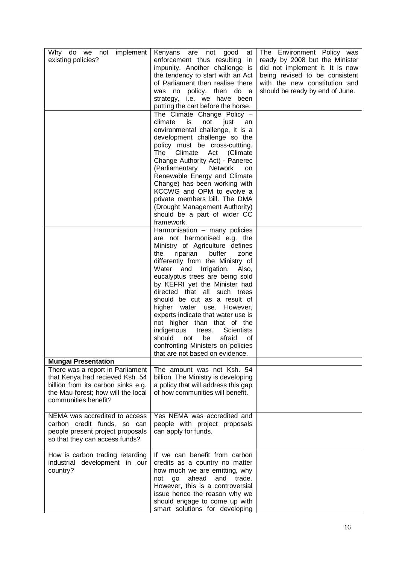| implement<br>Why do we<br>not<br>existing policies?                                                                                                                     | Kenyans<br>not<br>good<br>are<br>at<br>enforcement thus resulting in<br>impunity. Another challenge is<br>the tendency to start with an Act<br>of Parliament then realise there<br>was no policy, then do a<br>strategy, i.e. we have been<br>putting the cart before the horse.<br>The Climate Change Policy -<br>climate<br>is<br>not<br>just<br>an<br>environmental challenge, it is a<br>development challenge so the<br>policy must be cross-cuttting.<br>Climate<br>The<br>Act<br>(Climate)<br>Change Authority Act) - Panerec<br>(Parliamentary<br>Network<br>on<br>Renewable Energy and Climate<br>Change) has been working with<br>KCCWG and OPM to evolve a<br>private members bill. The DMA<br>(Drought Management Authority)<br>should be a part of wider CC<br>framework.<br>Harmonisation - many policies<br>are not harmonised e.g. the<br>Ministry of Agriculture defines | The Environment Policy was<br>ready by 2008 but the Minister<br>did not implement it. It is now<br>being revised to be consistent<br>with the new constitution and<br>should be ready by end of June. |
|-------------------------------------------------------------------------------------------------------------------------------------------------------------------------|-------------------------------------------------------------------------------------------------------------------------------------------------------------------------------------------------------------------------------------------------------------------------------------------------------------------------------------------------------------------------------------------------------------------------------------------------------------------------------------------------------------------------------------------------------------------------------------------------------------------------------------------------------------------------------------------------------------------------------------------------------------------------------------------------------------------------------------------------------------------------------------------|-------------------------------------------------------------------------------------------------------------------------------------------------------------------------------------------------------|
|                                                                                                                                                                         | the<br>riparian<br>buffer<br>zone<br>differently from the Ministry of<br>and Irrigation.<br>Water<br>Also,<br>eucalyptus trees are being sold<br>by KEFRI yet the Minister had<br>directed that all such trees<br>should be cut as a result of<br>higher water use. However,<br>experts indicate that water use is                                                                                                                                                                                                                                                                                                                                                                                                                                                                                                                                                                        |                                                                                                                                                                                                       |
| <b>Mungai Presentation</b>                                                                                                                                              | not higher than that of the<br>indigenous<br><b>Scientists</b><br>trees.<br>should<br>afraid<br>be<br>not<br>οf<br>confronting Ministers on policies<br>that are not based on evidence.                                                                                                                                                                                                                                                                                                                                                                                                                                                                                                                                                                                                                                                                                                   |                                                                                                                                                                                                       |
| There was a report in Parliament<br>that Kenya had recieved Ksh. 54<br>billion from its carbon sinks e.g.<br>the Mau forest; how will the local<br>communities benefit? | The amount was not Ksh. 54<br>billion. The Ministry is developing<br>a policy that will address this gap<br>of how communities will benefit.                                                                                                                                                                                                                                                                                                                                                                                                                                                                                                                                                                                                                                                                                                                                              |                                                                                                                                                                                                       |
| NEMA was accredited to access<br>carbon credit funds, so can<br>people present project proposals<br>so that they can access funds?                                      | Yes NEMA was accredited and<br>people with project proposals<br>can apply for funds.                                                                                                                                                                                                                                                                                                                                                                                                                                                                                                                                                                                                                                                                                                                                                                                                      |                                                                                                                                                                                                       |
| How is carbon trading retarding<br>industrial development in our<br>country?                                                                                            | If we can benefit from carbon<br>credits as a country no matter<br>how much we are emitting, why<br>ahead<br>trade.<br>not<br>go<br>and<br>However, this is a controversial<br>issue hence the reason why we<br>should engage to come up with<br>smart solutions for developing                                                                                                                                                                                                                                                                                                                                                                                                                                                                                                                                                                                                           |                                                                                                                                                                                                       |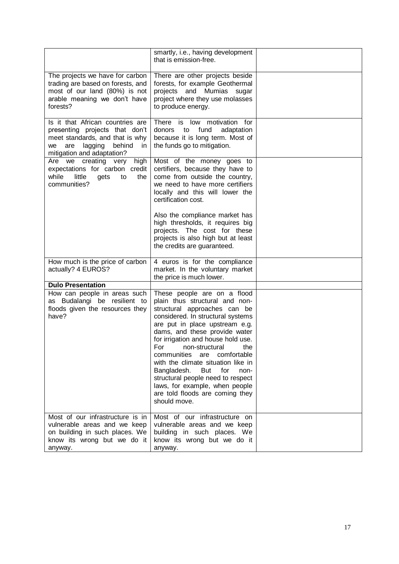|                                                                                                                                                                              | smartly, i.e., having development<br>that is emission-free.                                                                                                                                                                                                                                                                                                                                                                                                                                               |  |
|------------------------------------------------------------------------------------------------------------------------------------------------------------------------------|-----------------------------------------------------------------------------------------------------------------------------------------------------------------------------------------------------------------------------------------------------------------------------------------------------------------------------------------------------------------------------------------------------------------------------------------------------------------------------------------------------------|--|
| The projects we have for carbon<br>trading are based on forests, and<br>most of our land (80%) is not<br>arable meaning we don't have<br>forests?                            | There are other projects beside<br>forests, for example Geothermal<br>projects and Mumias sugar<br>project where they use molasses<br>to produce energy.                                                                                                                                                                                                                                                                                                                                                  |  |
| Is it that African countries are<br>presenting projects that don't<br>meet standards, and that is why<br>lagging<br>behind<br>we<br>are<br>in.<br>mitigation and adaptation? | There is low motivation for<br>donors to fund<br>adaptation<br>because it is long term. Most of<br>the funds go to mitigation.                                                                                                                                                                                                                                                                                                                                                                            |  |
| Are we creating very<br>high  <br>expectations for carbon credit<br>while<br>little<br>the<br>gets<br>to<br>communities?                                                     | Most of the money goes to<br>certifiers, because they have to<br>come from outside the country,<br>we need to have more certifiers<br>locally and this will lower the<br>certification cost.                                                                                                                                                                                                                                                                                                              |  |
|                                                                                                                                                                              | Also the compliance market has<br>high thresholds, it requires big<br>projects. The cost for these<br>projects is also high but at least<br>the credits are guaranteed.                                                                                                                                                                                                                                                                                                                                   |  |
| How much is the price of carbon<br>actually? 4 EUROS?                                                                                                                        | 4 euros is for the compliance<br>market. In the voluntary market<br>the price is much lower.                                                                                                                                                                                                                                                                                                                                                                                                              |  |
| <b>Dulo Presentation</b>                                                                                                                                                     |                                                                                                                                                                                                                                                                                                                                                                                                                                                                                                           |  |
| How can people in areas such<br>as Budalangi be resilient to<br>floods given the resources they<br>have?                                                                     | These people are on a flood<br>plain thus structural and non-<br>structural approaches can be<br>considered. In structural systems<br>are put in place upstream e.g.<br>dams, and these provide water<br>for irrigation and house hold use.<br>For non-structural the<br>communities are comfortable<br>with the climate situation like in<br>Bangladesh.<br>But<br>for<br>non-<br>structural people need to respect<br>laws, for example, when people<br>are told floods are coming they<br>should move. |  |
| Most of our infrastructure is in<br>vulnerable areas and we keep<br>on building in such places. We<br>know its wrong but we do it<br>anyway.                                 | Most of our infrastructure on<br>vulnerable areas and we keep<br>building in such places. We<br>know its wrong but we do it<br>anyway.                                                                                                                                                                                                                                                                                                                                                                    |  |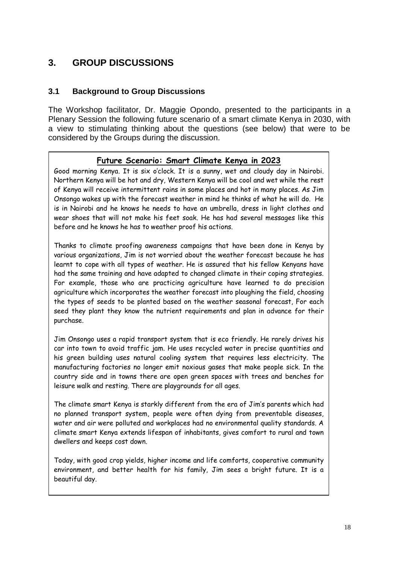### <span id="page-17-0"></span>**3. GROUP DISCUSSIONS**

### <span id="page-17-1"></span>**3.1 Background to Group Discussions**

The Workshop facilitator, Dr. Maggie Opondo, presented to the participants in a Plenary Session the following future scenario of a smart climate Kenya in 2030, with a view to stimulating thinking about the questions (see below) that were to be considered by the Groups during the discussion.

### **Future Scenario: Smart Climate Kenya in 2023**

Good morning Kenya. It is six o'clock. It is a sunny, wet and cloudy day in Nairobi. Northern Kenya will be hot and dry, Western Kenya will be cool and wet while the rest of Kenya will receive intermittent rains in some places and hot in many places. As Jim Onsongo wakes up with the forecast weather in mind he thinks of what he will do. He is in Nairobi and he knows he needs to have an umbrella, dress in light clothes and wear shoes that will not make his feet soak. He has had several messages like this before and he knows he has to weather proof his actions.

Thanks to climate proofing awareness campaigns that have been done in Kenya by various organizations, Jim is not worried about the weather forecast because he has learnt to cope with all types of weather. He is assured that his fellow Kenyans have had the same training and have adapted to changed climate in their coping strategies. For example, those who are practicing agriculture have learned to do precision agriculture which incorporates the weather forecast into ploughing the field, choosing the types of seeds to be planted based on the weather seasonal forecast, For each seed they plant they know the nutrient requirements and plan in advance for their purchase.

Jim Onsongo uses a rapid transport system that is eco friendly. He rarely drives his car into town to avoid traffic jam. He uses recycled water in precise quantities and his green building uses natural cooling system that requires less electricity. The manufacturing factories no longer emit noxious gases that make people sick. In the country side and in towns there are open green spaces with trees and benches for leisure walk and resting. There are playgrounds for all ages.

The climate smart Kenya is starkly different from the era of Jim's parents which had no planned transport system, people were often dying from preventable diseases, water and air were polluted and workplaces had no environmental quality standards. A climate smart Kenya extends lifespan of inhabitants, gives comfort to rural and town dwellers and keeps cost down.

Today, with good crop yields, higher income and life comforts, cooperative community environment, and better health for his family, Jim sees a bright future. It is a beautiful day.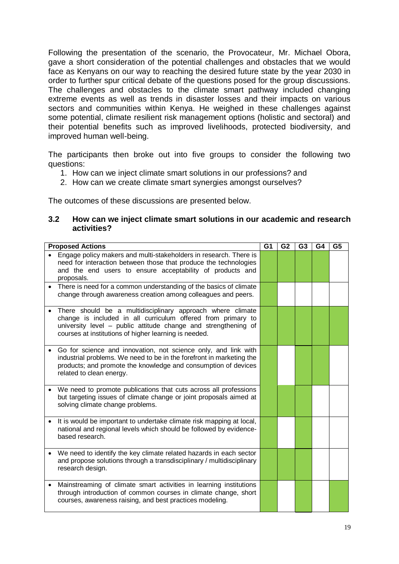Following the presentation of the scenario, the Provocateur, Mr. Michael Obora, gave a short consideration of the potential challenges and obstacles that we would face as Kenyans on our way to reaching the desired future state by the year 2030 in order to further spur critical debate of the questions posed for the group discussions. The challenges and obstacles to the climate smart pathway included changing extreme events as well as trends in disaster losses and their impacts on various sectors and communities within Kenya. He weighed in these challenges against some potential, climate resilient risk management options (holistic and sectoral) and their potential benefits such as improved livelihoods, protected biodiversity, and improved human well-being.

The participants then broke out into five groups to consider the following two questions:

- 1. How can we inject climate smart solutions in our professions? and
- 2. How can we create climate smart synergies amongst ourselves?

The outcomes of these discussions are presented below.

#### <span id="page-18-0"></span>**3.2 How can we inject climate smart solutions in our academic and research activities?**

| <b>Proposed Actions</b>                                                                                                                                                                                                                               | G <sub>1</sub> | G <sub>2</sub> | G <sub>3</sub> | G4 | G <sub>5</sub> |
|-------------------------------------------------------------------------------------------------------------------------------------------------------------------------------------------------------------------------------------------------------|----------------|----------------|----------------|----|----------------|
| Engage policy makers and multi-stakeholders in research. There is<br>need for interaction between those that produce the technologies<br>and the end users to ensure acceptability of products and<br>proposals.                                      |                |                |                |    |                |
| There is need for a common understanding of the basics of climate<br>change through awareness creation among colleagues and peers.                                                                                                                    |                |                |                |    |                |
| There should be a multidisciplinary approach where climate<br>change is included in all curriculum offered from primary to<br>university level - public attitude change and strengthening of<br>courses at institutions of higher learning is needed. |                |                |                |    |                |
| Go for science and innovation, not science only, and link with<br>industrial problems. We need to be in the forefront in marketing the<br>products; and promote the knowledge and consumption of devices<br>related to clean energy.                  |                |                |                |    |                |
| We need to promote publications that cuts across all professions<br>but targeting issues of climate change or joint proposals aimed at<br>solving climate change problems.                                                                            |                |                |                |    |                |
| It is would be important to undertake climate risk mapping at local,<br>national and regional levels which should be followed by evidence-<br>based research.                                                                                         |                |                |                |    |                |
| We need to identify the key climate related hazards in each sector<br>and propose solutions through a transdisciplinary / multidisciplinary<br>research design.                                                                                       |                |                |                |    |                |
| Mainstreaming of climate smart activities in learning institutions<br>through introduction of common courses in climate change, short<br>courses, awareness raising, and best practices modeling.                                                     |                |                |                |    |                |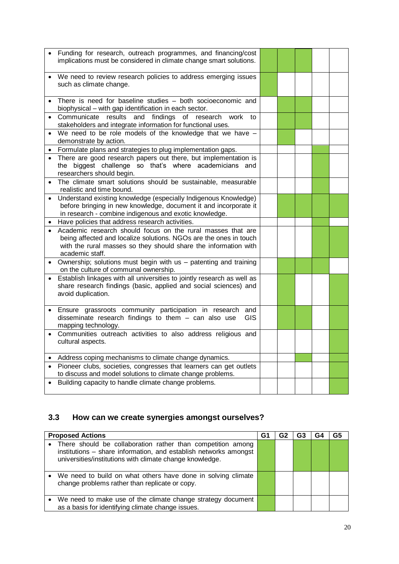|           | Funding for research, outreach programmes, and financing/cost                                                                        |  |  |  |
|-----------|--------------------------------------------------------------------------------------------------------------------------------------|--|--|--|
|           | implications must be considered in climate change smart solutions.                                                                   |  |  |  |
|           |                                                                                                                                      |  |  |  |
|           | We need to review research policies to address emerging issues                                                                       |  |  |  |
|           | such as climate change.                                                                                                              |  |  |  |
|           |                                                                                                                                      |  |  |  |
|           | There is need for baseline studies - both socioeconomic and                                                                          |  |  |  |
|           | biophysical - with gap identification in each sector.                                                                                |  |  |  |
|           | Communicate results and findings<br>research<br>work<br>of<br>to                                                                     |  |  |  |
|           | stakeholders and integrate information for functional uses.                                                                          |  |  |  |
|           | We need to be role models of the knowledge that we have $-$                                                                          |  |  |  |
|           | demonstrate by action.                                                                                                               |  |  |  |
|           | Formulate plans and strategies to plug implementation gaps.                                                                          |  |  |  |
|           | There are good research papers out there, but implementation is                                                                      |  |  |  |
|           | the biggest challenge so that's where academicians and                                                                               |  |  |  |
|           | researchers should begin.                                                                                                            |  |  |  |
|           | The climate smart solutions should be sustainable, measurable<br>realistic and time bound.                                           |  |  |  |
|           | Understand existing knowledge (especially Indigenous Knowledge)                                                                      |  |  |  |
|           | before bringing in new knowledge, document it and incorporate it                                                                     |  |  |  |
|           | in research - combine indigenous and exotic knowledge.                                                                               |  |  |  |
|           | Have policies that address research activities.                                                                                      |  |  |  |
|           |                                                                                                                                      |  |  |  |
|           |                                                                                                                                      |  |  |  |
|           | Academic research should focus on the rural masses that are                                                                          |  |  |  |
|           | being affected and localize solutions. NGOs are the ones in touch<br>with the rural masses so they should share the information with |  |  |  |
|           | academic staff.                                                                                                                      |  |  |  |
| $\bullet$ | Ownership; solutions must begin with us - patenting and training                                                                     |  |  |  |
|           | on the culture of communal ownership.                                                                                                |  |  |  |
|           | Establish linkages with all universities to jointly research as well as                                                              |  |  |  |
|           | share research findings (basic, applied and social sciences) and                                                                     |  |  |  |
|           | avoid duplication.                                                                                                                   |  |  |  |
|           |                                                                                                                                      |  |  |  |
|           | Ensure grassroots community participation in research<br>and                                                                         |  |  |  |
|           | disseminate research findings to them - can also use<br>GIS                                                                          |  |  |  |
| $\bullet$ | mapping technology.                                                                                                                  |  |  |  |
|           | Communities outreach activities to also address religious and<br>cultural aspects.                                                   |  |  |  |
|           |                                                                                                                                      |  |  |  |
|           | Address coping mechanisms to climate change dynamics.                                                                                |  |  |  |
|           | Pioneer clubs, societies, congresses that learners can get outlets                                                                   |  |  |  |
|           | to discuss and model solutions to climate change problems.                                                                           |  |  |  |
|           | Building capacity to handle climate change problems.                                                                                 |  |  |  |

## <span id="page-19-0"></span>**3.3 How can we create synergies amongst ourselves?**

| <b>Proposed Actions</b>                                                                                                                                                                       | G1 | G2 | G3 | G4 | G5 |
|-----------------------------------------------------------------------------------------------------------------------------------------------------------------------------------------------|----|----|----|----|----|
| • There should be collaboration rather than competition among<br>institutions - share information, and establish networks amongst<br>universities/institutions with climate change knowledge. |    |    |    |    |    |
| We need to build on what others have done in solving climate<br>change problems rather than replicate or copy.                                                                                |    |    |    |    |    |
| We need to make use of the climate change strategy document<br>as a basis for identifying climate change issues.                                                                              |    |    |    |    |    |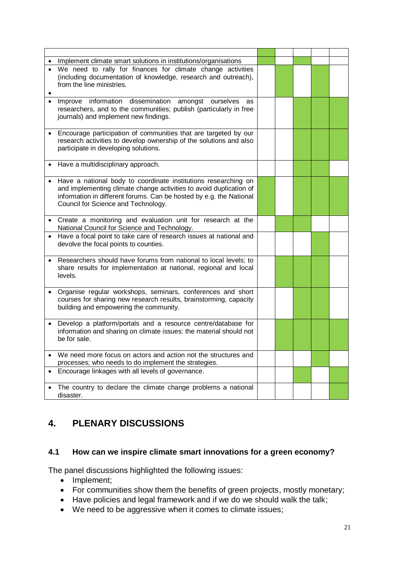|              | Implement climate smart solutions in institutions/organisations                                                                                                                                                                                    |  |  |  |
|--------------|----------------------------------------------------------------------------------------------------------------------------------------------------------------------------------------------------------------------------------------------------|--|--|--|
|              | We need to rally for finances for climate change activities<br>(including documentation of knowledge, research and outreach),<br>from the line ministries.                                                                                         |  |  |  |
|              | Improve information dissemination amongst ourselves<br>as<br>researchers, and to the communities; publish (particularly in free<br>journals) and implement new findings.                                                                           |  |  |  |
|              | Encourage participation of communities that are targeted by our<br>research activities to develop ownership of the solutions and also<br>participate in developing solutions.                                                                      |  |  |  |
|              | Have a multidisciplinary approach.                                                                                                                                                                                                                 |  |  |  |
|              | Have a national body to coordinate institutions researching on<br>and implementing climate change activities to avoid duplication of<br>information in different forums. Can be hosted by e.g. the National<br>Council for Science and Technology. |  |  |  |
|              | Create a monitoring and evaluation unit for research at the<br>National Council for Science and Technology.                                                                                                                                        |  |  |  |
|              | Have a focal point to take care of research issues at national and<br>devolve the focal points to counties.                                                                                                                                        |  |  |  |
| levels.      | Researchers should have forums from national to local levels; to<br>share results for implementation at national, regional and local                                                                                                               |  |  |  |
|              | Organise regular workshops, seminars, conferences and short<br>courses for sharing new research results, brainstorming, capacity<br>building and empowering the community.                                                                         |  |  |  |
| be for sale. | Develop a platform/portals and a resource centre/database for<br>information and sharing on climate issues: the material should not                                                                                                                |  |  |  |
|              | We need more focus on actors and action not the structures and<br>processes; who needs to do implement the strategies.                                                                                                                             |  |  |  |
|              | Encourage linkages with all levels of governance.                                                                                                                                                                                                  |  |  |  |
| disaster.    | The country to declare the climate change problems a national                                                                                                                                                                                      |  |  |  |

### <span id="page-20-0"></span>**4. PLENARY DISCUSSIONS**

### <span id="page-20-1"></span>**4.1 How can we inspire climate smart innovations for a green economy?**

The panel discussions highlighted the following issues:

- Implement;
- For communities show them the benefits of green projects, mostly monetary;
- Have policies and legal framework and if we do we should walk the talk;
- We need to be aggressive when it comes to climate issues;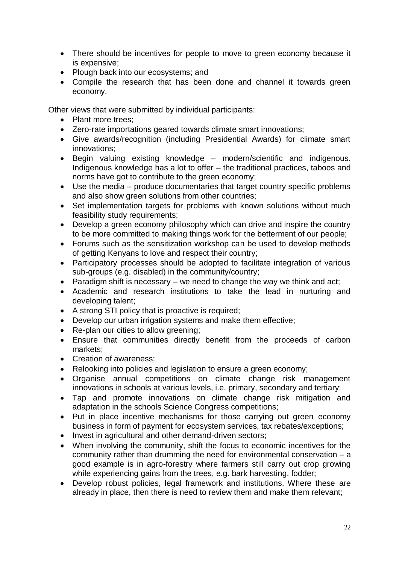- There should be incentives for people to move to green economy because it is expensive;
- Plough back into our ecosystems; and
- Compile the research that has been done and channel it towards green economy.

Other views that were submitted by individual participants:

- Plant more trees;
- Zero-rate importations geared towards climate smart innovations;
- Give awards/recognition (including Presidential Awards) for climate smart innovations;
- Begin valuing existing knowledge modern/scientific and indigenous. Indigenous knowledge has a lot to offer – the traditional practices, taboos and norms have got to contribute to the green economy;
- Use the media produce documentaries that target country specific problems and also show green solutions from other countries;
- Set implementation targets for problems with known solutions without much feasibility study requirements;
- Develop a green economy philosophy which can drive and inspire the country to be more committed to making things work for the betterment of our people;
- Forums such as the sensitization workshop can be used to develop methods of getting Kenyans to love and respect their country;
- Participatory processes should be adopted to facilitate integration of various sub-groups (e.g. disabled) in the community/country;
- Paradigm shift is necessary  $-$  we need to change the way we think and act;
- Academic and research institutions to take the lead in nurturing and developing talent;
- A strong STI policy that is proactive is required;
- Develop our urban irrigation systems and make them effective;
- Re-plan our cities to allow greening;
- Ensure that communities directly benefit from the proceeds of carbon markets;
- Creation of awareness;
- Relooking into policies and legislation to ensure a green economy;
- Organise annual competitions on climate change risk management innovations in schools at various levels, i.e. primary, secondary and tertiary;
- Tap and promote innovations on climate change risk mitigation and adaptation in the schools Science Congress competitions;
- Put in place incentive mechanisms for those carrying out green economy business in form of payment for ecosystem services, tax rebates/exceptions;
- Invest in agricultural and other demand-driven sectors;
- When involving the community, shift the focus to economic incentives for the community rather than drumming the need for environmental conservation – a good example is in agro-forestry where farmers still carry out crop growing while experiencing gains from the trees, e.g. bark harvesting, fodder;
- Develop robust policies, legal framework and institutions. Where these are already in place, then there is need to review them and make them relevant;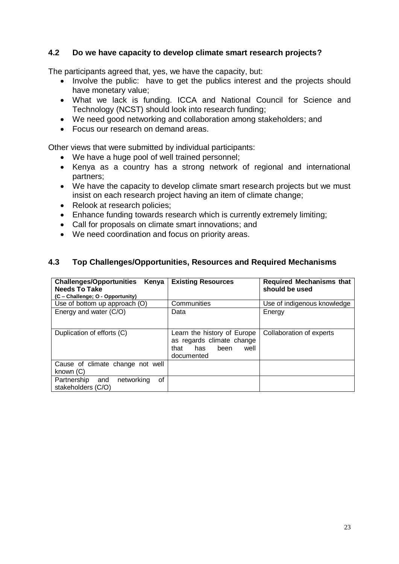### <span id="page-22-0"></span>**4.2 Do we have capacity to develop climate smart research projects?**

The participants agreed that, yes, we have the capacity, but:

- Involve the public: have to get the publics interest and the projects should have monetary value;
- What we lack is funding. ICCA and National Council for Science and Technology (NCST) should look into research funding;
- We need good networking and collaboration among stakeholders; and
- Focus our research on demand areas.

Other views that were submitted by individual participants:

- We have a huge pool of well trained personnel;
- Kenya as a country has a strong network of regional and international partners;
- We have the capacity to develop climate smart research projects but we must insist on each research project having an item of climate change;
- Relook at research policies;
- Enhance funding towards research which is currently extremely limiting;
- Call for proposals on climate smart innovations; and
- We need coordination and focus on priority areas.

#### <span id="page-22-1"></span>**4.3 Top Challenges/Opportunities, Resources and Required Mechanisms**

| <b>Challenges/Opportunities</b><br>Kenya<br><b>Needs To Take</b> | <b>Existing Resources</b>                                                                             | <b>Required Mechanisms that</b><br>should be used |
|------------------------------------------------------------------|-------------------------------------------------------------------------------------------------------|---------------------------------------------------|
| (C - Challenge; O - Opportunity)                                 |                                                                                                       |                                                   |
| Use of bottom up approach (O)                                    | Communities                                                                                           | Use of indigenous knowledge                       |
| Energy and water (C/O)                                           | Data                                                                                                  | Energy                                            |
| Duplication of efforts (C)                                       | Learn the history of Europe<br>as regards climate change<br>has<br>been<br>that<br>well<br>documented | Collaboration of experts                          |
| Cause of climate change not well<br>known (C)                    |                                                                                                       |                                                   |
| Partnership and<br>networking<br>οf<br>stakeholders (C/O)        |                                                                                                       |                                                   |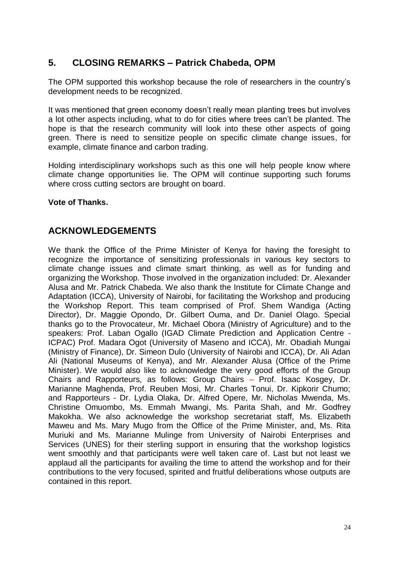### <span id="page-23-0"></span>**5. CLOSING REMARKS – Patrick Chabeda, OPM**

The OPM supported this workshop because the role of researchers in the country's development needs to be recognized.

It was mentioned that green economy doesn't really mean planting trees but involves a lot other aspects including, what to do for cities where trees can't be planted. The hope is that the research community will look into these other aspects of going green. There is need to sensitize people on specific climate change issues, for example, climate finance and carbon trading.

Holding interdisciplinary workshops such as this one will help people know where climate change opportunities lie. The OPM will continue supporting such forums where cross cutting sectors are brought on board.

#### **Vote of Thanks.**

### <span id="page-23-1"></span>**ACKNOWLEDGEMENTS**

We thank the Office of the Prime Minister of Kenya for having the foresight to recognize the importance of sensitizing professionals in various key sectors to climate change issues and climate smart thinking, as well as for funding and organizing the Workshop. Those involved in the organization included: Dr. Alexander Alusa and Mr. Patrick Chabeda. We also thank the Institute for Climate Change and Adaptation (ICCA), University of Nairobi, for facilitating the Workshop and producing the Workshop Report. This team comprised of Prof. Shem Wandiga (Acting Director), Dr. Maggie Opondo, Dr. Gilbert Ouma, and Dr. Daniel Olago. Special thanks go to the Provocateur, Mr. Michael Obora (Ministry of Agriculture) and to the speakers: Prof. Laban Ogallo (IGAD Climate Prediction and Application Centre - ICPAC) Prof. Madara Ogot (University of Maseno and ICCA), Mr. Obadiah Mungai (Ministry of Finance), Dr. Simeon Dulo (University of Nairobi and ICCA), Dr. Ali Adan Ali (National Museums of Kenya), and Mr. Alexander Alusa (Office of the Prime Minister). We would also like to acknowledge the very good efforts of the Group Chairs and Rapporteurs, as follows: Group Chairs – Prof. Isaac Kosgey, Dr. Marianne Maghenda, Prof. Reuben Mosi, Mr. Charles Tonui, Dr. Kipkorir Chumo; and Rapporteurs - Dr. Lydia Olaka, Dr. Alfred Opere, Mr. Nicholas Mwenda, Ms. Christine Omuombo, Ms. Emmah Mwangi, Ms. Parita Shah, and Mr. Godfrey Makokha. We also acknowledge the workshop secretariat staff, Ms. Elizabeth Maweu and Ms. Mary Mugo from the Office of the Prime Minister, and, Ms. Rita Muriuki and Ms. Marianne Mulinge from University of Nairobi Enterprises and Services (UNES) for their sterling support in ensuring that the workshop logistics went smoothly and that participants were well taken care of. Last but not least we applaud all the participants for availing the time to attend the workshop and for their contributions to the very focused, spirited and fruitful deliberations whose outputs are contained in this report.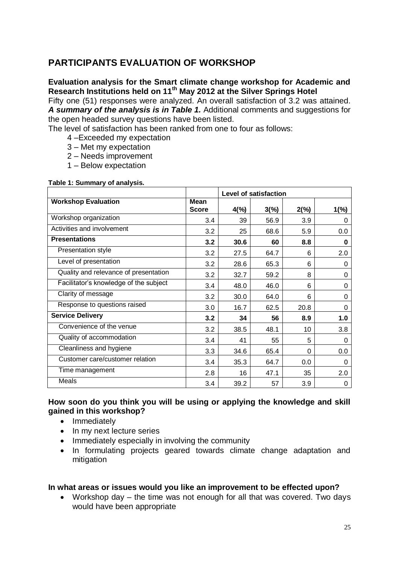### <span id="page-24-0"></span>**PARTICIPANTS EVALUATION OF WORKSHOP**

### **Evaluation analysis for the Smart climate change workshop for Academic and Research Institutions held on 11th May 2012 at the Silver Springs Hotel**

Fifty one (51) responses were analyzed. An overall satisfaction of 3.2 was attained. *A summary of the analysis is in Table 1.* Additional comments and suggestions for the open headed survey questions have been listed.

The level of satisfaction has been ranked from one to four as follows:

- 4 –Exceeded my expectation
- 3 Met my expectation
- 2 Needs improvement
- 1 Below expectation

|                                        |                             |                | Level of satisfaction |      |      |
|----------------------------------------|-----------------------------|----------------|-----------------------|------|------|
| <b>Workshop Evaluation</b>             | <b>Mean</b><br><b>Score</b> | $4\frac{6}{6}$ | $3(\%)$               | 2(%) | 1(%) |
| Workshop organization                  | 3.4                         | 39             | 56.9                  | 3.9  | 0    |
| Activities and involvement             | 3.2                         | 25             | 68.6                  | 5.9  | 0.0  |
| <b>Presentations</b>                   | 3.2                         | 30.6           | 60                    | 8.8  | 0    |
| Presentation style                     | 3.2                         | 27.5           | 64.7                  | 6    | 2.0  |
| Level of presentation                  | 3.2                         | 28.6           | 65.3                  | 6    | 0    |
| Quality and relevance of presentation  | 3.2                         | 32.7           | 59.2                  | 8    | 0    |
| Facilitator's knowledge of the subject | 3.4                         | 48.0           | 46.0                  | 6    | 0    |
| Clarity of message                     | 3.2                         | 30.0           | 64.0                  | 6    | 0    |
| Response to questions raised           | 3.0                         | 16.7           | 62.5                  | 20.8 | 0    |
| <b>Service Delivery</b>                | 3.2                         | 34             | 56                    | 8.9  | 1.0  |
| Convenience of the venue               | 3.2                         | 38.5           | 48.1                  | 10   | 3.8  |
| Quality of accommodation               | 3.4                         | 41             | 55                    | 5    | 0    |
| Cleanliness and hygiene                | 3.3                         | 34.6           | 65.4                  | 0    | 0.0  |
| Customer care/customer relation        | 3.4                         | 35.3           | 64.7                  | 0.0  | 0    |
| Time management                        | 2.8                         | 16             | 47.1                  | 35   | 2.0  |
| Meals                                  | 3.4                         | 39.2           | 57                    | 3.9  | 0    |

#### **Table 1: Summary of analysis.**

### **How soon do you think you will be using or applying the knowledge and skill gained in this workshop?**

- Immediately
- In my next lecture series
- Immediately especially in involving the community
- In formulating projects geared towards climate change adaptation and mitigation

#### **In what areas or issues would you like an improvement to be effected upon?**

 Workshop day – the time was not enough for all that was covered. Two days would have been appropriate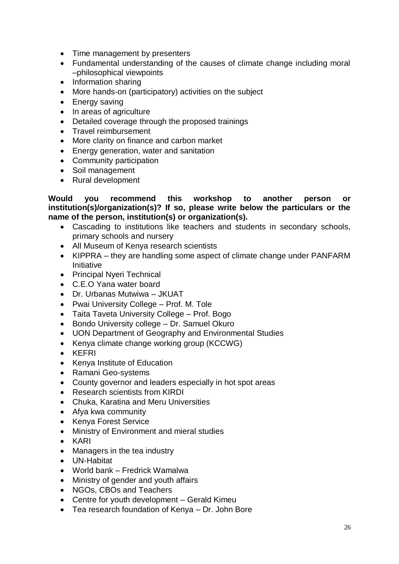- Time management by presenters
- Fundamental understanding of the causes of climate change including moral –philosophical viewpoints
- Information sharing
- More hands-on (participatory) activities on the subject
- Energy saving
- In areas of agriculture
- Detailed coverage through the proposed trainings
- Travel reimbursement
- More clarity on finance and carbon market
- Energy generation, water and sanitation
- Community participation
- Soil management
- Rural development

**Would you recommend this workshop to another person or institution(s)/organization(s)? If so, please write below the particulars or the name of the person, institution(s) or organization(s).**

- Cascading to institutions like teachers and students in secondary schools, primary schools and nursery
- All Museum of Kenya research scientists
- KIPPRA they are handling some aspect of climate change under PANFARM Initiative
- Principal Nyeri Technical
- C.E.O Yana water board
- Dr. Urbanas Mutwiwa JKUAT
- Pwai University College Prof. M. Tole
- Taita Taveta University College Prof. Bogo
- Bondo University college Dr. Samuel Okuro
- UON Department of Geography and Environmental Studies
- Kenya climate change working group (KCCWG)
- KEFRI
- Kenya Institute of Education
- Ramani Geo-systems
- County governor and leaders especially in hot spot areas
- Research scientists from KIRDI
- Chuka, Karatina and Meru Universities
- Afya kwa community
- Kenya Forest Service
- Ministry of Environment and mieral studies
- KARI
- Managers in the tea industry
- UN-Habitat
- World bank Fredrick Wamalwa
- Ministry of gender and youth affairs
- NGOs, CBOs and Teachers
- Centre for youth development Gerald Kimeu
- Tea research foundation of Kenya Dr. John Bore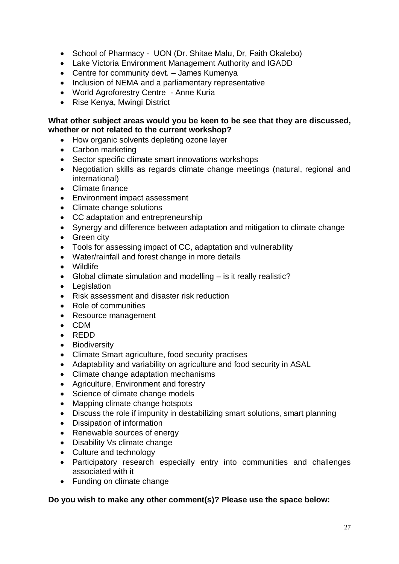- School of Pharmacy UON (Dr. Shitae Malu, Dr, Faith Okalebo)
- Lake Victoria Environment Management Authority and IGADD
- Centre for community devt. James Kumenya
- Inclusion of NEMA and a parliamentary representative
- World Agroforestry Centre Anne Kuria
- Rise Kenya, Mwingi District

### **What other subject areas would you be keen to be see that they are discussed, whether or not related to the current workshop?**

- How organic solvents depleting ozone layer
- Carbon marketing
- Sector specific climate smart innovations workshops
- Negotiation skills as regards climate change meetings (natural, regional and international)
- Climate finance
- Environment impact assessment
- Climate change solutions
- CC adaptation and entrepreneurship
- Synergy and difference between adaptation and mitigation to climate change
- Green city
- Tools for assessing impact of CC, adaptation and vulnerability
- Water/rainfall and forest change in more details
- Wildlife
- Global climate simulation and modelling is it really realistic?
- Legislation
- Risk assessment and disaster risk reduction
- Role of communities
- Resource management
- CDM
- REDD
- Biodiversity
- Climate Smart agriculture, food security practises
- Adaptability and variability on agriculture and food security in ASAL
- Climate change adaptation mechanisms
- Agriculture, Environment and forestry
- Science of climate change models
- Mapping climate change hotspots
- Discuss the role if impunity in destabilizing smart solutions, smart planning
- Dissipation of information
- Renewable sources of energy
- Disability Vs climate change
- Culture and technology
- Participatory research especially entry into communities and challenges associated with it
- Funding on climate change

### **Do you wish to make any other comment(s)? Please use the space below:**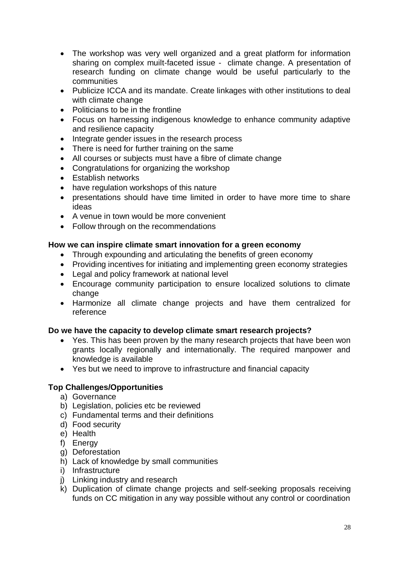- The workshop was very well organized and a great platform for information sharing on complex muilt-faceted issue - climate change. A presentation of research funding on climate change would be useful particularly to the communities
- Publicize ICCA and its mandate. Create linkages with other institutions to deal with climate change
- Politicians to be in the frontline
- Focus on harnessing indigenous knowledge to enhance community adaptive and resilience capacity
- Integrate gender issues in the research process
- There is need for further training on the same
- All courses or subjects must have a fibre of climate change
- Congratulations for organizing the workshop
- Establish networks
- have regulation workshops of this nature
- presentations should have time limited in order to have more time to share ideas
- A venue in town would be more convenient
- Follow through on the recommendations

### **How we can inspire climate smart innovation for a green economy**

- Through expounding and articulating the benefits of green economy
- Providing incentives for initiating and implementing green economy strategies
- Legal and policy framework at national level
- Encourage community participation to ensure localized solutions to climate change
- Harmonize all climate change projects and have them centralized for reference

#### **Do we have the capacity to develop climate smart research projects?**

- Yes. This has been proven by the many research projects that have been won grants locally regionally and internationally. The required manpower and knowledge is available
- Yes but we need to improve to infrastructure and financial capacity

#### **Top Challenges/Opportunities**

- a) Governance
- b) Legislation, policies etc be reviewed
- c) Fundamental terms and their definitions
- d) Food security
- e) Health
- f) Energy
- g) Deforestation
- h) Lack of knowledge by small communities
- i) Infrastructure
- j) Linking industry and research
- k) Duplication of climate change projects and self-seeking proposals receiving funds on CC mitigation in any way possible without any control or coordination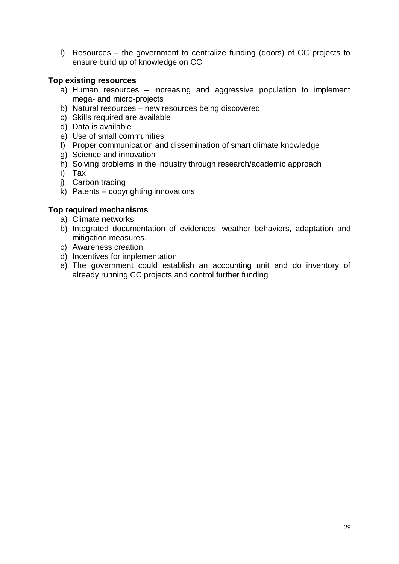l) Resources – the government to centralize funding (doors) of CC projects to ensure build up of knowledge on CC

### **Top existing resources**

- a) Human resources increasing and aggressive population to implement mega- and micro-projects
- b) Natural resources new resources being discovered
- c) Skills required are available
- d) Data is available
- e) Use of small communities
- f) Proper communication and dissemination of smart climate knowledge
- g) Science and innovation
- h) Solving problems in the industry through research/academic approach
- i) Tax
- j) Carbon trading
- k) Patents copyrighting innovations

### **Top required mechanisms**

- a) Climate networks
- b) Integrated documentation of evidences, weather behaviors, adaptation and mitigation measures.
- c) Awareness creation
- d) Incentives for implementation
- e) The government could establish an accounting unit and do inventory of already running CC projects and control further funding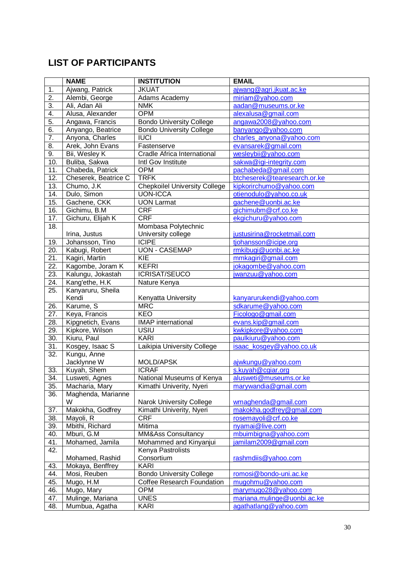### <span id="page-29-0"></span>**LIST OF PARTICIPANTS**

|                   | <b>NAME</b>             | <b>INSTITUTION</b>                   | <b>EMAIL</b>                                   |
|-------------------|-------------------------|--------------------------------------|------------------------------------------------|
| 1.                | Ajwang, Patrick         | <b>JKUAT</b>                         | ajwang@agri.jkuat.ac.ke                        |
| $\overline{2}$ .  | Alembi, George          | Adams Academy                        | miriam@yahoo.com                               |
| $\overline{3}$ .  | Ali, Adan Ali           | <b>NMK</b>                           | aadan@museums.or.ke                            |
| 4.                | Alusa, Alexander        | <b>OPM</b>                           | alexalusa@gmail.com                            |
| $\overline{5}$ .  | Angawa, Francis         | <b>Bondo University College</b>      | angawa2008@yahoo.com                           |
| 6.                | Anyango, Beatrice       | <b>Bondo University College</b>      | banyango@yahoo.com                             |
| $\overline{7}$ .  | Anyona, Charles         | <b>IUCI</b>                          | charles_anyona@yahoo.com                       |
| $\overline{8}$ .  | Arek, John Evans        | Fastenserve                          | evansarek@gmail.com                            |
| 9.                | Bii, Wesley K           | Cradle Africa International          | wesleybii@yahoo.com                            |
| 10.               | Buliba, Sakwa           | Intl Gov Institute                   | sakwa@igi-integrity.com                        |
| 11.               | Chabeda, Patrick        | <b>OPM</b>                           | pachabeda@gmail.com                            |
| 12.               | Cheserek, Beatrice C    | <b>TRFK</b>                          | btcheserek@tearesearch.or.ke                   |
| 13.               | Chumo, J.K              | <b>Chepkoilel University College</b> | kipkorirchumo@yahoo.com                        |
| 14.               | Dulo, Simon             | <b>UON-ICCA</b>                      | otienodulo@yahoo.co.uk                         |
| 15.               | Gachene, CKK            | <b>UON Larmat</b>                    | gachene@uonbi.ac.ke                            |
| 16.               | Gichimu, B.M.           | <b>CRF</b>                           | gichimubm@crf.co.ke                            |
| 17.               | Gichuru, Elijah K       | <b>CRF</b>                           | ekgichuru@yahoo.com                            |
| 18.               |                         | Mombasa Polytechnic                  |                                                |
|                   | Irina, Justus           | University college                   | justusirina@rocketmail.com                     |
| 19.               | Johansson, Tino         | <b>ICIPE</b>                         | tjohansson@icipe.org                           |
| 20.               | Kabugi, Robert          | <b>UON - CASEMAP</b>                 | rmkibugi@uonbi.ac.ke                           |
| $\overline{21}$ . | Kagiri, Martin          | $\overline{KIE}$                     | mmkagiri@gmail.com                             |
| $\overline{22}$ . | Kagombe, Joram K        | <b>KEFRI</b>                         | jokagombe@yahoo.com                            |
| 23.               | Kalungu, Jokastah       | <b>ICRISAT/SEUCO</b>                 | jwanzuu@yahoo.com                              |
| 24.               | Kang'ethe, H.K          | Nature Kenya                         |                                                |
| $\overline{25}$ . | Kanyaruru, Sheila       |                                      |                                                |
|                   | Kendi                   | Kenyatta University                  | kanyarurukendi@yahoo.com                       |
| 26.               | Karume, S               | <b>MRC</b>                           | sdkarume@yahoo.com                             |
| 27.               | Keya, Francis           | <b>KEO</b>                           | Ficologo@gmail.com                             |
| $\overline{28}$ . | Kipgnetich, Evans       | <b>IMAP</b> international            | evans.kip@gmail.com                            |
| 29.               | Kipkore, Wilson         | USIU                                 | kwkipkore@yahoo.com                            |
| 30.               | Kiuru, Paul             | <b>KARI</b>                          | paulkiuru@yahoo.com                            |
| $\overline{31}$   | Kosgey, Isaac S         | Laikipia University College          | isaac_kosgey@yahoo.co.uk                       |
| 32.               | Kungu, Anne             |                                      |                                                |
|                   | Jacklynne W             | MOLD/APSK                            | ajwkungu@yahoo.com                             |
| 33.               | Kuyah, Shem             | <b>ICRAF</b>                         | s.kuyah@cgiar.org                              |
| 34.<br>35.        | Lusweti, Agnes          | National Museums of Kenya            | alusweti@museums.or.ke<br>marywandia@gmail.com |
| 36.               | Macharia, Mary          | Kimathi Univerity, Nyeri             |                                                |
|                   | Maghenda, Marianne<br>W | Narok University College             | wmaghenda@gmail.com                            |
| 37.               | Makokha, Godfrey        | Kimathi Univerity, Nyeri             | makokha.godfrey@gmail.com                      |
| 38.               | Mayoli, R               | <b>CRF</b>                           | rosemayoli@crf.co.ke                           |
| 39.               | Mbithi, Richard         | Mitima                               | nyamai@live.com                                |
| 40.               | Mburi, G.M              | MM&Ass Consultancy                   | mbuimbigna@yahoo.com                           |
| 41.               | Mohamed, Jamila         | Mohammed and Kinyanjui               | jamilam2009@gmail.com                          |
| 42.               |                         | Kenya Pastrolists                    |                                                |
|                   | Mohamed, Rashid         | Consortium                           | rashmdiis@yahoo.com                            |
| 43.               | Mokaya, Benffrey        | <b>KARI</b>                          |                                                |
| 44.               | Mosi, Reuben            | <b>Bondo University College</b>      | romosi@bondo-uni.ac.ke                         |
| 45.               | Mugo, H.M               | <b>Coffee Research Foundation</b>    | mugohmu@yahoo.com                              |
| 46.               | Mugo, Mary              | <b>OPM</b>                           | marymugo28@yahoo.com                           |
| 47.               | Mulinge, Mariana        | <b>UNES</b>                          | mariana.mulinge@uonbi.ac.ke                    |
| 48.               | Mumbua, Agatha          | <b>KARI</b>                          | agathatlang@yahoo.com                          |
|                   |                         |                                      |                                                |